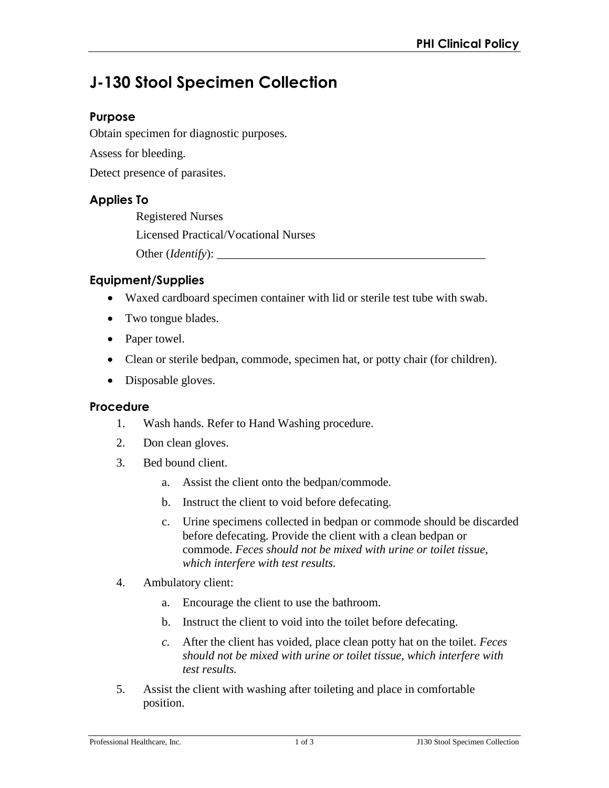# **J-130 Stool Specimen Collection**

## **Purpose**

Obtain specimen for diagnostic purposes.

Assess for bleeding.

Detect presence of parasites.

# **Applies To**

Registered Nurses Licensed Practical/Vocational Nurses Other (*Identify*):

# **Equipment/Supplies**

- Waxed cardboard specimen container with lid or sterile test tube with swab.
- Two tongue blades.
- Paper towel.
- Clean or sterile bedpan, commode, specimen hat, or potty chair (for children).
- Disposable gloves.

#### **Procedure**

- 1. Wash hands. Refer to Hand Washing procedure.
- 2. Don clean gloves.
- 3. Bed bound client.
	- a. Assist the client onto the bedpan/commode.
	- b. Instruct the client to void before defecating.
	- c. Urine specimens collected in bedpan or commode should be discarded before defecating. Provide the client with a clean bedpan or commode. *Feces should not be mixed with urine or toilet tissue, which interfere with test results.*
- 4. Ambulatory client:
	- a. Encourage the client to use the bathroom.
	- b. Instruct the client to void into the toilet before defecating.
	- *c.* After the client has voided, place clean potty hat on the toilet. *Feces should not be mixed with urine or toilet tissue, which interfere with test results.*
- 5. Assist the client with washing after toileting and place in comfortable position.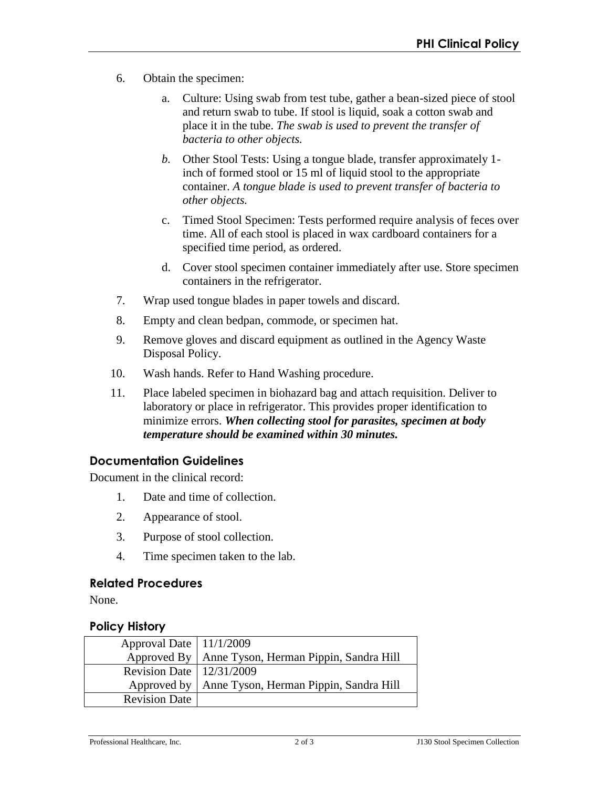- 6. Obtain the specimen:
	- a. Culture: Using swab from test tube, gather a bean-sized piece of stool and return swab to tube. If stool is liquid, soak a cotton swab and place it in the tube. *The swab is used to prevent the transfer of bacteria to other objects.*
	- *b.* Other Stool Tests: Using a tongue blade, transfer approximately 1 inch of formed stool or 15 ml of liquid stool to the appropriate container. *A tongue blade is used to prevent transfer of bacteria to other objects.*
	- c. Timed Stool Specimen: Tests performed require analysis of feces over time. All of each stool is placed in wax cardboard containers for a specified time period, as ordered.
	- d. Cover stool specimen container immediately after use. Store specimen containers in the refrigerator.
- 7. Wrap used tongue blades in paper towels and discard.
- 8. Empty and clean bedpan, commode, or specimen hat.
- 9. Remove gloves and discard equipment as outlined in the Agency Waste Disposal Policy.
- 10. Wash hands. Refer to Hand Washing procedure.
- 11. Place labeled specimen in biohazard bag and attach requisition. Deliver to laboratory or place in refrigerator. This provides proper identification to minimize errors. *When collecting stool for parasites, specimen at body temperature should be examined within 30 minutes.*

#### **Documentation Guidelines**

Document in the clinical record:

- 1. Date and time of collection.
- 2. Appearance of stool.
- 3. Purpose of stool collection.
- 4. Time specimen taken to the lab.

#### **Related Procedures**

None.

## **Policy History**

| Approval Date   11/1/2009    |                                                      |
|------------------------------|------------------------------------------------------|
|                              | Approved By   Anne Tyson, Herman Pippin, Sandra Hill |
| Revision Date   $12/31/2009$ |                                                      |
|                              | Approved by   Anne Tyson, Herman Pippin, Sandra Hill |
| <b>Revision Date</b>         |                                                      |